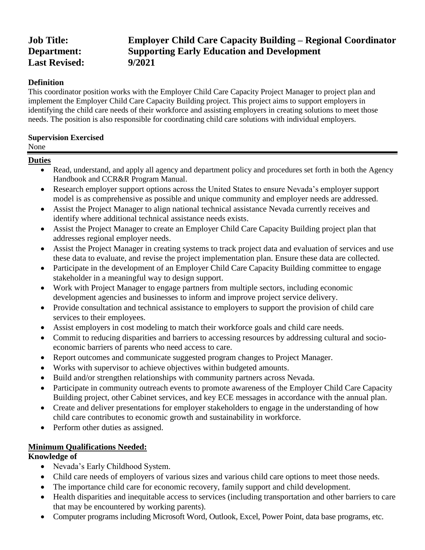# **Last Revised: 9/2021**

# **Job Title: Employer Child Care Capacity Building – Regional Coordinator Department: Supporting Early Education and Development**

# **Definition**

This coordinator position works with the Employer Child Care Capacity Project Manager to project plan and implement the Employer Child Care Capacity Building project. This project aims to support employers in identifying the child care needs of their workforce and assisting employers in creating solutions to meet those needs. The position is also responsible for coordinating child care solutions with individual employers.

## **Supervision Exercised**

#### None

# **Duties**

- Read, understand, and apply all agency and department policy and procedures set forth in both the Agency Handbook and CCR&R Program Manual.
- Research employer support options across the United States to ensure Nevada's employer support model is as comprehensive as possible and unique community and employer needs are addressed.
- Assist the Project Manager to align national technical assistance Nevada currently receives and identify where additional technical assistance needs exists.
- Assist the Project Manager to create an Employer Child Care Capacity Building project plan that addresses regional employer needs.
- Assist the Project Manager in creating systems to track project data and evaluation of services and use these data to evaluate, and revise the project implementation plan. Ensure these data are collected.
- Participate in the development of an Employer Child Care Capacity Building committee to engage stakeholder in a meaningful way to design support.
- Work with Project Manager to engage partners from multiple sectors, including economic development agencies and businesses to inform and improve project service delivery.
- Provide consultation and technical assistance to employers to support the provision of child care services to their employees.
- Assist employers in cost modeling to match their workforce goals and child care needs.
- Commit to reducing disparities and barriers to accessing resources by addressing cultural and socioeconomic barriers of parents who need access to care.
- Report outcomes and communicate suggested program changes to Project Manager.
- Works with supervisor to achieve objectives within budgeted amounts.
- Build and/or strengthen relationships with community partners across Nevada.
- Participate in community outreach events to promote awareness of the Employer Child Care Capacity Building project, other Cabinet services, and key ECE messages in accordance with the annual plan.
- Create and deliver presentations for employer stakeholders to engage in the understanding of how child care contributes to economic growth and sustainability in workforce.
- Perform other duties as assigned.

# **Minimum Qualifications Needed:**

# **Knowledge of**

- Nevada's Early Childhood System.
- Child care needs of employers of various sizes and various child care options to meet those needs.
- The importance child care for economic recovery, family support and child development.
- Health disparities and inequitable access to services (including transportation and other barriers to care that may be encountered by working parents).
- Computer programs including Microsoft Word, Outlook, Excel, Power Point, data base programs, etc.